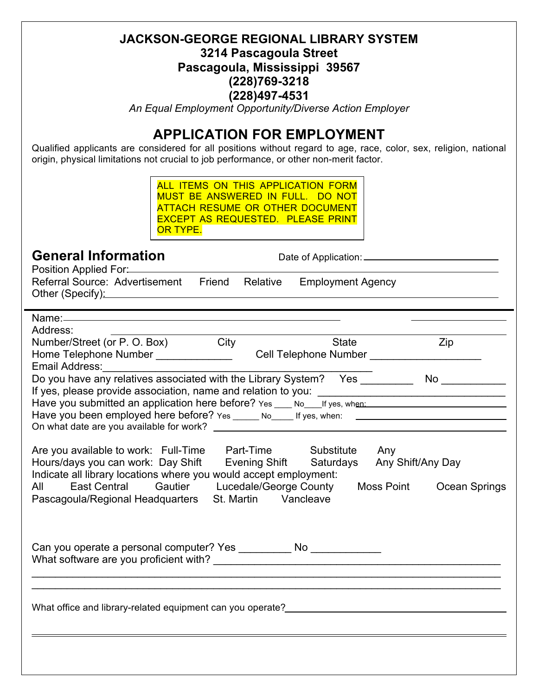#### **JACKSON-GEORGE REGIONAL LIBRARY SYSTEM 3214 Pascagoula Street Pascagoula, Mississippi 39567 (228)769-3218 (228)497-4531**

*An Equal Employment Opportunity/Diverse Action Employer*

### **APPLICATION FOR EMPLOYMENT**

Qualified applicants are considered for all positions without regard to age, race, color, sex, religion, national origin, physical limitations not crucial to job performance, or other non-merit factor.

| ALL ITEMS ON THIS APPLICATION FORM<br><b>MUST BE ANSWERED IN FULL. DO NOT</b><br><b>ATTACH RESUME OR OTHER DOCUMENT</b><br><b>EXCEPT AS REQUESTED. PLEASE PRINT</b><br>OR TYPE.                                                                                                                                                                                                                                                                                                                                                      |  |                                           |                                                     |  |  |
|--------------------------------------------------------------------------------------------------------------------------------------------------------------------------------------------------------------------------------------------------------------------------------------------------------------------------------------------------------------------------------------------------------------------------------------------------------------------------------------------------------------------------------------|--|-------------------------------------------|-----------------------------------------------------|--|--|
| <b>General Information</b>                                                                                                                                                                                                                                                                                                                                                                                                                                                                                                           |  |                                           |                                                     |  |  |
| Referral Source: Advertisement Friend Relative Employment Agency<br>Other (Specify): example and the state of the state of the state of the state of the state of the state of the                                                                                                                                                                                                                                                                                                                                                   |  |                                           |                                                     |  |  |
| Address:                                                                                                                                                                                                                                                                                                                                                                                                                                                                                                                             |  |                                           |                                                     |  |  |
| Number/Street (or P. O. Box) City<br>Home Telephone Number _______________<br>Email Address:_________________                                                                                                                                                                                                                                                                                                                                                                                                                        |  | <b>State</b>                              | Zip<br>Cell Telephone Number ______________________ |  |  |
| Do you have any relatives associated with the Library System? Yes ______________ No ______________<br>Have you submitted an application here before? Yes ___ No___If yes, when: _________________________<br>Have you been employed here before? Yes _____ No____ If yes, when: _________________________________                                                                                                                                                                                                                    |  |                                           |                                                     |  |  |
| Are you available to work: Full-Time Part-Time Substitute Any<br>Hours/days you can work: Day Shift Evening Shift Saturdays Any Shift/Any Day<br>Indicate all library locations where you would accept employment:<br><b>East Central</b><br>All and the set of the set of the set of the set of the set of the set of the set of the set of the set of the set of the set of the set of the set of the set of the set of the set of the set of the set of the set of the s<br>Pascagoula/Regional Headquarters St. Martin Vancleave |  | Gautier Lucedale/George County Moss Point | Ocean Springs                                       |  |  |
| Can you operate a personal computer? Yes ________<br>What software are you proficient with?                                                                                                                                                                                                                                                                                                                                                                                                                                          |  | No                                        |                                                     |  |  |
|                                                                                                                                                                                                                                                                                                                                                                                                                                                                                                                                      |  |                                           |                                                     |  |  |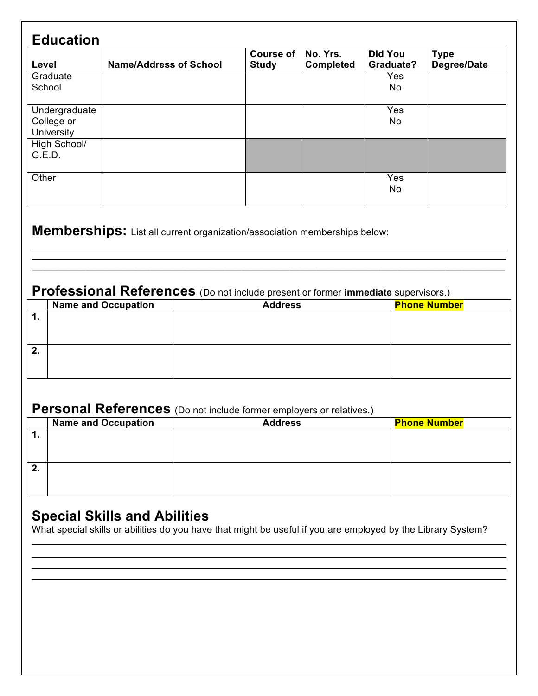| <b>Education</b>                          |                               |                                  |                              |                                    |                            |
|-------------------------------------------|-------------------------------|----------------------------------|------------------------------|------------------------------------|----------------------------|
| Level                                     | <b>Name/Address of School</b> | <b>Course of</b><br><b>Study</b> | No. Yrs.<br><b>Completed</b> | <b>Did You</b><br><b>Graduate?</b> | <b>Type</b><br>Degree/Date |
| Graduate<br>School                        |                               |                                  |                              | <b>Yes</b><br>No                   |                            |
| Undergraduate<br>College or<br>University |                               |                                  |                              | Yes<br>No                          |                            |
| High School/<br>G.E.D.                    |                               |                                  |                              |                                    |                            |
| Other                                     |                               |                                  |                              | Yes<br>No                          |                            |

**Memberships:** List all current organization/association memberships below:

# **Professional References** (Do not include present or former **immediate** supervisors.)

|           | <b>Name and Occupation</b> | <b>Address</b> | <b>Phone Number</b> |
|-----------|----------------------------|----------------|---------------------|
| . .       |                            |                |                     |
|           |                            |                |                     |
|           |                            |                |                     |
| <b>L.</b> |                            |                |                     |
|           |                            |                |                     |
|           |                            |                |                     |

 $\_$ 

## **Personal References** (Do not include former employers or relatives.)

|         | <b>Name and Occupation</b> | <b>Address</b> | <b>Phone Number</b> |
|---------|----------------------------|----------------|---------------------|
| . .     |                            |                |                     |
|         |                            |                |                     |
|         |                            |                |                     |
| Ð<br>4. |                            |                |                     |
|         |                            |                |                     |
|         |                            |                |                     |
|         |                            |                |                     |

## **Special Skills and Abilities**

What special skills or abilities do you have that might be useful if you are employed by the Library System?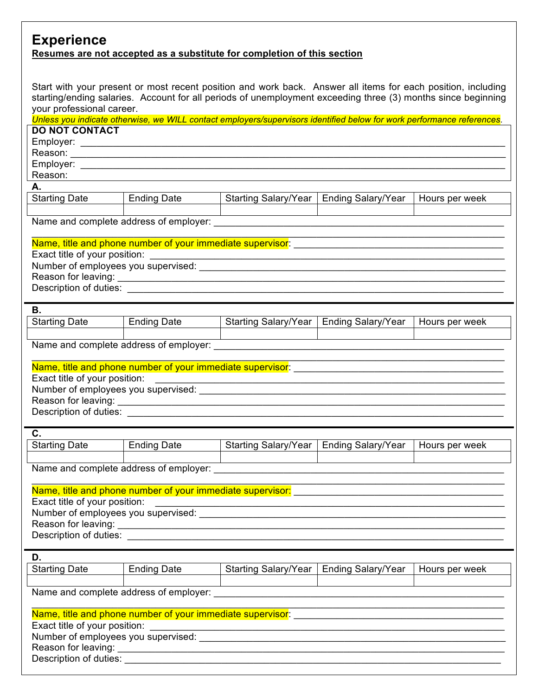#### **Experience Resumes are not accepted as a substitute for completion of this section**

Start with your present or most recent position and work back. Answer all items for each position, including starting/ending salaries. Account for all periods of unemployment exceeding three (3) months since beginning your professional career.

|                                                                                  |                                                          | Unless you indicate otherwise, we WILL contact employers/supervisors identified below for work performance references.                                                                                    |                                           |                |  |
|----------------------------------------------------------------------------------|----------------------------------------------------------|-----------------------------------------------------------------------------------------------------------------------------------------------------------------------------------------------------------|-------------------------------------------|----------------|--|
| <b>DO NOT CONTACT</b>                                                            |                                                          |                                                                                                                                                                                                           |                                           |                |  |
|                                                                                  |                                                          |                                                                                                                                                                                                           |                                           |                |  |
|                                                                                  |                                                          |                                                                                                                                                                                                           |                                           |                |  |
|                                                                                  |                                                          |                                                                                                                                                                                                           |                                           |                |  |
| Reason:                                                                          | <u> 1989 - John Stone, amerikansk politiker († 1908)</u> |                                                                                                                                                                                                           |                                           |                |  |
| А.                                                                               |                                                          |                                                                                                                                                                                                           |                                           |                |  |
| <b>Starting Date</b>                                                             | <b>Ending Date</b>                                       | Starting Salary/Year                                                                                                                                                                                      | <b>Ending Salary/Year</b>                 | Hours per week |  |
|                                                                                  |                                                          |                                                                                                                                                                                                           |                                           |                |  |
|                                                                                  |                                                          |                                                                                                                                                                                                           |                                           |                |  |
|                                                                                  |                                                          |                                                                                                                                                                                                           |                                           |                |  |
|                                                                                  |                                                          |                                                                                                                                                                                                           |                                           |                |  |
|                                                                                  |                                                          |                                                                                                                                                                                                           |                                           |                |  |
|                                                                                  |                                                          |                                                                                                                                                                                                           |                                           |                |  |
|                                                                                  |                                                          |                                                                                                                                                                                                           |                                           |                |  |
|                                                                                  |                                                          |                                                                                                                                                                                                           |                                           |                |  |
|                                                                                  |                                                          |                                                                                                                                                                                                           |                                           |                |  |
| В.                                                                               |                                                          |                                                                                                                                                                                                           |                                           |                |  |
| <b>Starting Date</b>                                                             | <b>Ending Date</b>                                       |                                                                                                                                                                                                           | Starting Salary/Year   Ending Salary/Year | Hours per week |  |
|                                                                                  |                                                          |                                                                                                                                                                                                           |                                           |                |  |
|                                                                                  |                                                          |                                                                                                                                                                                                           |                                           |                |  |
|                                                                                  |                                                          |                                                                                                                                                                                                           |                                           |                |  |
|                                                                                  |                                                          |                                                                                                                                                                                                           |                                           |                |  |
|                                                                                  |                                                          |                                                                                                                                                                                                           |                                           |                |  |
|                                                                                  |                                                          |                                                                                                                                                                                                           |                                           |                |  |
|                                                                                  |                                                          |                                                                                                                                                                                                           |                                           |                |  |
|                                                                                  |                                                          |                                                                                                                                                                                                           |                                           |                |  |
|                                                                                  |                                                          |                                                                                                                                                                                                           |                                           |                |  |
| C.                                                                               |                                                          |                                                                                                                                                                                                           |                                           |                |  |
| <b>Starting Date</b>                                                             | <b>Ending Date</b>                                       |                                                                                                                                                                                                           | Starting Salary/Year   Ending Salary/Year | Hours per week |  |
|                                                                                  |                                                          |                                                                                                                                                                                                           |                                           |                |  |
|                                                                                  |                                                          |                                                                                                                                                                                                           |                                           |                |  |
|                                                                                  |                                                          |                                                                                                                                                                                                           |                                           |                |  |
|                                                                                  |                                                          | Name, title and phone number of your immediate supervisor:<br>Name, title and phone number of your immediate supervisor:                                                                                  |                                           |                |  |
| Exact title of your position:                                                    |                                                          | <u> 1989 - Johann John Stein, market fan de Amerikaanske kommunister fan de Amerikaanske kommunister fan de Amerikaanske kommunister fan de Amerikaanske kommunister fan de Amerikaanske kommunister.</u> |                                           |                |  |
|                                                                                  |                                                          |                                                                                                                                                                                                           |                                           |                |  |
|                                                                                  |                                                          |                                                                                                                                                                                                           |                                           |                |  |
|                                                                                  |                                                          |                                                                                                                                                                                                           |                                           |                |  |
|                                                                                  |                                                          |                                                                                                                                                                                                           |                                           |                |  |
| D.                                                                               |                                                          |                                                                                                                                                                                                           |                                           |                |  |
| <b>Starting Date</b>                                                             | <b>Ending Date</b>                                       | Starting Salary/Year                                                                                                                                                                                      | <b>Ending Salary/Year</b>                 | Hours per week |  |
|                                                                                  |                                                          |                                                                                                                                                                                                           |                                           |                |  |
| Name and complete address of employer:<br>Name and complete address of employer: |                                                          |                                                                                                                                                                                                           |                                           |                |  |
|                                                                                  |                                                          |                                                                                                                                                                                                           |                                           |                |  |
|                                                                                  |                                                          |                                                                                                                                                                                                           |                                           |                |  |
|                                                                                  |                                                          |                                                                                                                                                                                                           |                                           |                |  |
|                                                                                  |                                                          |                                                                                                                                                                                                           |                                           |                |  |
|                                                                                  |                                                          |                                                                                                                                                                                                           |                                           |                |  |
| Description of duties:                                                           |                                                          |                                                                                                                                                                                                           |                                           |                |  |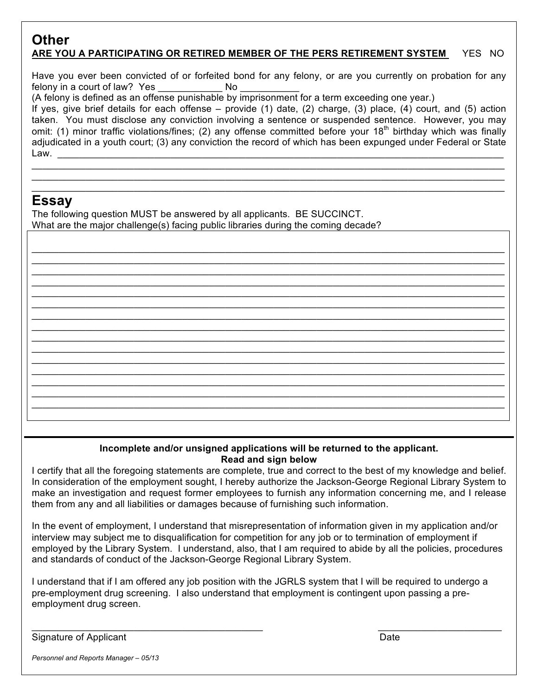#### **Other ARE YOU A PARTICIPATING OR RETIRED MEMBER OF THE PERS RETIREMENT SYSTEM** YES NO

Have you ever been convicted of or forfeited bond for any felony, or are you currently on probation for any felony in a court of law? Yes Mo

(A felony is defined as an offense punishable by imprisonment for a term exceeding one year.)

If yes, give brief details for each offense – provide (1) date, (2) charge, (3) place, (4) court, and (5) action taken. You must disclose any conviction involving a sentence or suspended sentence. However, you may omit: (1) minor traffic violations/fines; (2) any offense committed before your 18<sup>th</sup> birthday which was finally adjudicated in a youth court; (3) any conviction the record of which has been expunged under Federal or State Law. \_\_\_\_\_\_\_\_\_\_\_\_\_\_\_\_\_\_\_\_\_\_\_\_\_\_\_\_\_\_\_\_\_\_\_\_\_\_\_\_\_\_\_\_\_\_\_\_\_\_\_\_\_\_\_\_\_\_\_\_\_\_\_\_\_\_\_\_\_\_\_\_\_\_\_\_\_\_\_\_\_\_\_

 $\_$  $\_$  $\_$ 

\_\_\_\_\_\_\_\_\_\_\_\_\_\_\_\_\_\_\_\_\_\_\_\_\_\_\_\_\_\_\_\_\_\_\_\_\_\_\_\_\_\_\_\_\_\_\_\_\_\_\_\_\_\_\_\_\_\_\_\_\_\_\_\_\_\_\_\_\_\_\_\_\_\_\_\_\_\_\_\_\_\_\_\_\_\_\_\_  $\_$  $\_$ 

 $\_$  $\_$  $\_$  $\mathcal{L}_\mathcal{L} = \mathcal{L}_\mathcal{L} = \mathcal{L}_\mathcal{L} = \mathcal{L}_\mathcal{L} = \mathcal{L}_\mathcal{L} = \mathcal{L}_\mathcal{L} = \mathcal{L}_\mathcal{L} = \mathcal{L}_\mathcal{L} = \mathcal{L}_\mathcal{L} = \mathcal{L}_\mathcal{L} = \mathcal{L}_\mathcal{L} = \mathcal{L}_\mathcal{L} = \mathcal{L}_\mathcal{L} = \mathcal{L}_\mathcal{L} = \mathcal{L}_\mathcal{L} = \mathcal{L}_\mathcal{L} = \mathcal{L}_\mathcal{L}$  $\_$  $\_$  $\_$  $\_$  $\_$  $\_$  $\_$ 

#### **Essay**

The following question MUST be answered by all applicants. BE SUCCINCT. What are the major challenge(s) facing public libraries during the coming decade?

#### **Incomplete and/or unsigned applications will be returned to the applicant. Read and sign below**

I certify that all the foregoing statements are complete, true and correct to the best of my knowledge and belief. In consideration of the employment sought, I hereby authorize the Jackson-George Regional Library System to make an investigation and request former employees to furnish any information concerning me, and I release them from any and all liabilities or damages because of furnishing such information.

In the event of employment, I understand that misrepresentation of information given in my application and/or interview may subject me to disqualification for competition for any job or to termination of employment if employed by the Library System. I understand, also, that I am required to abide by all the policies, procedures and standards of conduct of the Jackson-George Regional Library System.

I understand that if I am offered any job position with the JGRLS system that I will be required to undergo a pre-employment drug screening. I also understand that employment is contingent upon passing a preemployment drug screen.

 $\mathcal{L}_\mathcal{L} = \mathcal{L}_\mathcal{L} = \mathcal{L}_\mathcal{L} = \mathcal{L}_\mathcal{L} = \mathcal{L}_\mathcal{L} = \mathcal{L}_\mathcal{L} = \mathcal{L}_\mathcal{L} = \mathcal{L}_\mathcal{L} = \mathcal{L}_\mathcal{L} = \mathcal{L}_\mathcal{L} = \mathcal{L}_\mathcal{L} = \mathcal{L}_\mathcal{L} = \mathcal{L}_\mathcal{L} = \mathcal{L}_\mathcal{L} = \mathcal{L}_\mathcal{L} = \mathcal{L}_\mathcal{L} = \mathcal{L}_\mathcal{L}$ 

Signature of Applicant Date Controller Controller Controller Controller Controller Controller Controller Controller

*Personnel and Reports Manager – 05/13*